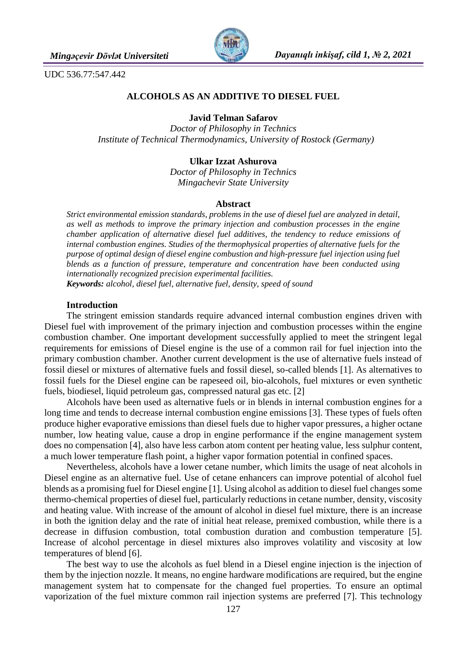

UDC 536.77:547.442

## **ALCOHOLS AS AN ADDITIVE TO DIESEL FUEL**

**Javid Telman Safarov**

*Doctor of Philosophy in Technics Institute of Technical Thermodynamics, University of Rostock (Germany)*

# **Ulkar Izzat Ashurova**

*Doctor of Philosophy in Technics Mingachevir State University*

## **Abstract**

*Strict environmental emission standards, problems in the use of diesel fuel are analyzed in detail, as well as methods to improve the primary injection and combustion processes in the engine chamber application of alternative diesel fuel additives, the tendency to reduce emissions of internal combustion engines. Studies of the thermophysical properties of alternative fuels for the purpose of optimal design of diesel engine combustion and high-pressure fuel injection using fuel blends as a function of pressure, temperature and concentration have been conducted using internationally recognized precision experimental facilities. Keywords: alcohol, diesel fuel, alternative fuel, density, speed of sound*

## **Introduction**

The stringent emission standards require advanced internal combustion engines driven with Diesel fuel with improvement of the primary injection and combustion processes within the engine combustion chamber. One important development successfully applied to meet the stringent legal requirements for emissions of Diesel engine is the use of a common rail for fuel injection into the primary combustion chamber. Another current development is the use of alternative fuels instead of fossil diesel or mixtures of alternative fuels and fossil diesel, so-called blends [1]. As alternatives to fossil fuels for the Diesel engine can be rapeseed oil, bio-alcohols, fuel mixtures or even synthetic fuels, biodiesel, liquid petroleum gas, compressed natural gas etc. [2]

Alcohols have been used as alternative fuels or in blends in internal combustion engines for a long time and tends to decrease internal combustion engine emissions [3]. These types of fuels often produce higher evaporative emissions than diesel fuels due to higher vapor pressures, a higher octane number, low heating value, cause a drop in engine performance if the engine management system does no compensation [4], also have less carbon atom content per heating value, less sulphur content, a much lower temperature flash point, a higher vapor formation potential in confined spaces.

Nevertheless, alcohols have a lower cetane number, which limits the usage of neat alcohols in Diesel engine as an alternative fuel. Use of cetane enhancers can improve potential of alcohol fuel blends as a promising fuel for Diesel engine [1]. Using alcohol as addition to diesel fuel changes some thermo-chemical properties of diesel fuel, particularly reductions in cetane number, density, viscosity and heating value. With increase of the amount of alcohol in diesel fuel mixture, there is an increase in both the ignition delay and the rate of initial heat release, premixed combustion, while there is a decrease in diffusion combustion, total combustion duration and combustion temperature [5]. Increase of alcohol percentage in diesel mixtures also improves volatility and viscosity at low temperatures of blend [6].

The best way to use the alcohols as fuel blend in a Diesel engine injection is the injection of them by the injection nozzle. It means, no engine hardware modifications are required, but the engine management system hat to compensate for the changed fuel properties. To ensure an optimal vaporization of the fuel mixture common rail injection systems are preferred [7]. This technology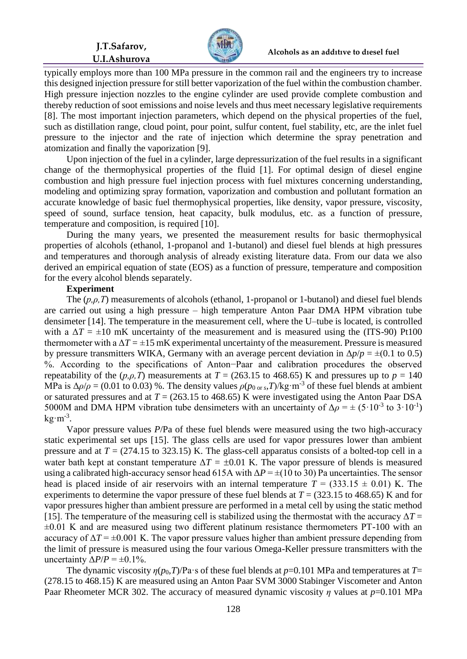**J.T.Safarov, U.I.Ashurova**



typically employs more than 100 MPa pressure in the common rail and the engineers try to increase this designed injection pressure for still better vaporization of the fuel within the combustion chamber. High pressure injection nozzles to the engine cylinder are used provide complete combustion and thereby reduction of soot emissions and noise levels and thus meet necessary legislative requirements [8]. The most important injection parameters, which depend on the physical properties of the fuel, such as distillation range, cloud point, pour point, sulfur content, fuel stability, etc, are the inlet fuel pressure to the injector and the rate of injection which determine the spray penetration and atomization and finally the vaporization [9].

Upon injection of the fuel in a cylinder, large depressurization of the fuel results in a significant change of the thermophysical properties of the fluid [1]. For optimal design of diesel engine combustion and high pressure fuel injection process with fuel mixtures concerning understanding, modeling and optimizing spray formation, vaporization and combustion and pollutant formation an accurate knowledge of basic fuel thermophysical properties, like density, vapor pressure, viscosity, speed of sound, surface tension, heat capacity, bulk modulus, etc. as a function of pressure, temperature and composition, is required [10].

During the many years, we presented the measurement results for basic thermophysical properties of alcohols (ethanol, 1-propanol and 1-butanol) and diesel fuel blends at high pressures and temperatures and thorough analysis of already existing literature data. From our data we also derived an empirical equation of state (EOS) as a function of pressure, temperature and composition for the every alcohol blends separately.

## **Experiment**

The (*p,ρ,T*) measurements of alcohols (ethanol, 1-propanol or 1-butanol) and diesel fuel blends are carried out using a high pressure – high temperature Anton Paar DMA HPM vibration tube densimeter [14]. The temperature in the measurement cell, where the U–tube is located, is controlled with a  $\Delta T = \pm 10$  mK uncertainty of the measurement and is measured using the (ITS-90) Pt100 thermometer with a  $\Delta T = \pm 15$  mK experimental uncertainty of the measurement. Pressure is measured by pressure transmitters WIKA, Germany with an average percent deviation in  $\Delta p/p = \pm (0.1 \text{ to } 0.5)$ %. According to the specifications of Anton−Paar and calibration procedures the observed repeatability of the  $(p, \rho, T)$  measurements at  $T = (263.15 \text{ to } 468.65) \text{ K}$  and pressures up to  $p = 140$ MPa is  $\Delta \rho / \rho = (0.01 \text{ to } 0.03)$  %. The density values  $\rho (p_{0 \text{ or } s}, T) / \text{kg} \cdot \text{m}^{-3}$  of these fuel blends at ambient or saturated pressures and at  $T = (263.15 \text{ to } 468.65) \text{ K}$  were investigated using the Anton Paar DSA 5000M and DMA HPM vibration tube densimeters with an uncertainty of  $\Delta \rho = \pm (5 \cdot 10^{-3} \text{ to } 3 \cdot 10^{-1})$  $\text{kg} \cdot \text{m}^{-3}$ .

Vapor pressure values *P*/Pa of these fuel blends were measured using the two high-accuracy static experimental set ups [15]. The glass cells are used for vapor pressures lower than ambient pressure and at  $T = (274.15 \text{ to } 323.15) \text{ K}$ . The glass-cell apparatus consists of a bolted-top cell in a water bath kept at constant temperature  $\Delta T = \pm 0.01$  K. The vapor pressure of blends is measured using a calibrated high-accuracy sensor head 615A with  $\Delta P = \pm (10 \text{ to } 30)$  Pa uncertainties. The sensor head is placed inside of air reservoirs with an internal temperature  $T = (333.15 \pm 0.01)$  K. The experiments to determine the vapor pressure of these fuel blends at  $T = (323.15 \text{ to } 468.65) \text{ K}$  and for vapor pressures higher than ambient pressure are performed in a metal cell by using the static method [15]. The temperature of the measuring cell is stabilized using the thermostat with the accuracy  $\Delta T =$  $\pm 0.01$  K and are measured using two different platinum resistance thermometers PT-100 with an accuracy of  $\Delta T = \pm 0.001$  K. The vapor pressure values higher than ambient pressure depending from the limit of pressure is measured using the four various Omega-Keller pressure transmitters with the uncertainty  $\Delta P/P = \pm 0.1\%$ .

The dynamic viscosity  $\eta(p_0, T)/\text{Pa} \cdot s$  of these fuel blends at  $p=0.101$  MPa and temperatures at  $T=$ (278.15 to 468.15) K are measured using an Anton Paar SVM 3000 Stabinger Viscometer and Anton Paar Rheometer MCR 302. The accuracy of measured dynamic viscosity *η* values at *p*=0.101 MPa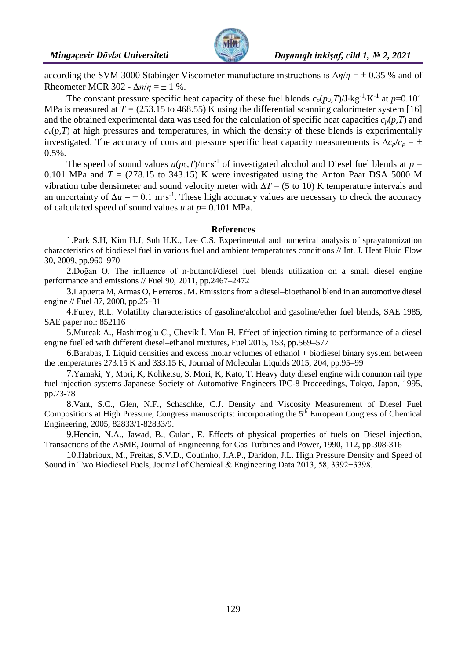

according the SVM 3000 Stabinger Viscometer manufacture instructions is  $\Delta \eta / \eta = \pm 0.35$  % and of Rheometer MCR 302 -  $\Delta \eta / \eta = \pm 1$  %.

The constant pressure specific heat capacity of these fuel blends  $c_p(p_0, T)/J$ ·kg<sup>-1</sup>·K<sup>-1</sup> at  $p=0.101$ MPa is measured at  $T = (253.15 \text{ to } 468.55)$  K using the differential scanning calorimeter system [16] and the obtained experimental data was used for the calculation of specific heat capacities  $c_p(p,T)$  and  $c<sub>v</sub>(p,T)$  at high pressures and temperatures, in which the density of these blends is experimentally investigated. The accuracy of constant pressure specific heat capacity measurements is  $\Delta c_p/c_p = \pm$ 0.5%.

The speed of sound values  $u(p_0, T)/m \cdot s^{-1}$  of investigated alcohol and Diesel fuel blends at  $p =$ 0.101 MPa and  $T = (278.15 \text{ to } 343.15) \text{ K}$  were investigated using the Anton Paar DSA 5000 M vibration tube densimeter and sound velocity meter with  $\Delta T = (5 \text{ to } 10) \text{ K}$  temperature intervals and an uncertainty of  $\Delta u = \pm 0.1 \text{ m} \cdot \text{s}^{-1}$ . These high accuracy values are necessary to check the accuracy of calculated speed of sound values *u* at *p*= 0.101 MPa.

## **References**

1.Park S.H, Kim H.J, Suh H.K., Lee C.S. Experimental and numerical analysis of sprayatomization characteristics of biodiesel fuel in various fuel and ambient temperatures conditions // Int. J. Heat Fluid Flow 30, 2009, pp.960–970

2.Doğan O. The influence of n-butanol/diesel fuel blends utilization on a small diesel engine performance and emissions // Fuel 90, 2011, pp.2467–2472

3.Lapuerta M, Armas O, Herreros JM. Emissions from a diesel–bioethanol blend in an automotive diesel engine // Fuel 87, 2008, pp.25–31

4.Furey, R.L. Volatility characteristics of gasoline/alcohol and gasoline/ether fuel blends, SAE 1985, SAE paper no.: 852116

5.Murcak A., Hashimoglu C., Chevik İ. Man H. Effect of injection timing to performance of a diesel engine fuelled with different diesel–ethanol mixtures, Fuel 2015, 153, pp.569–577

6.Barabas, I. Liquid densities and excess molar volumes of ethanol + biodiesel binary system between the temperatures 273.15 K and 333.15 K, Journal of Molecular Liquids 2015, 204, pp.95–99

7.Yamaki, Y, Mori, K, Kohketsu, S, Mori, K, Kato, T. Heavy duty diesel engine with conunon rail type fuel injection systems Japanese Society of Automotive Engineers IPC-8 Proceedings, Tokyo, Japan, 1995, pp.73-78

8.Vant, S.C., Glen, N.F., Schaschke, C.J. Density and Viscosity Measurement of Diesel Fuel Compositions at High Pressure, Congress manuscripts: incorporating the 5th European Congress of Chemical Engineering, 2005, 82833/1-82833/9.

9.Henein, N.A., Jawad, B., Gulari, E. Effects of physical properties of fuels on Diesel injection, Transactions of the ASME, Journal of Engineering for Gas Turbines and Power, 1990, 112, pp.308-316

10.Habrioux, M., Freitas, S.V.D., Coutinho, J.A.P., Daridon, J.L. High Pressure Density and Speed of Sound in Two Biodiesel Fuels, Journal of Chemical & Engineering Data 2013, 58, 3392−3398.